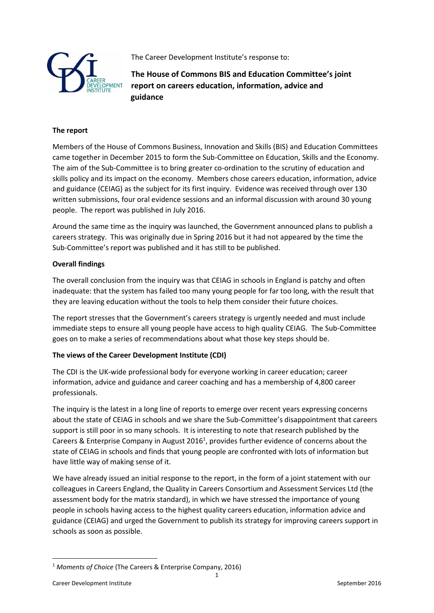

The Career Development Institute's response to:

**The House of Commons BIS and Education Committee's joint report on careers education, information, advice and guidance** 

## **The report**

Members of the House of Commons Business, Innovation and Skills (BIS) and Education Committees came together in December 2015 to form the Sub-Committee on Education, Skills and the Economy. The aim of the Sub-Committee is to bring greater co-ordination to the scrutiny of education and skills policy and its impact on the economy. Members chose careers education, information, advice and guidance (CEIAG) as the subject for its first inquiry. Evidence was received through over 130 written submissions, four oral evidence sessions and an informal discussion with around 30 young people. The report was published in July 2016.

Around the same time as the inquiry was launched, the Government announced plans to publish a careers strategy. This was originally due in Spring 2016 but it had not appeared by the time the Sub-Committee's report was published and it has still to be published.

## **Overall findings**

The overall conclusion from the inquiry was that CEIAG in schools in England is patchy and often inadequate: that the system has failed too many young people for far too long, with the result that they are leaving education without the tools to help them consider their future choices.

The report stresses that the Government's careers strategy is urgently needed and must include immediate steps to ensure all young people have access to high quality CEIAG. The Sub-Committee goes on to make a series of recommendations about what those key steps should be.

## **The views of the Career Development Institute (CDI)**

The CDI is the UK-wide professional body for everyone working in career education; career information, advice and guidance and career coaching and has a membership of 4,800 career professionals.

The inquiry is the latest in a long line of reports to emerge over recent years expressing concerns about the state of CEIAG in schools and we share the Sub-Committee's disappointment that careers support is still poor in so many schools. It is interesting to note that research published by the Careers & Enterprise Company in August 2016<sup>1</sup>, provides further evidence of concerns about the state of CEIAG in schools and finds that young people are confronted with lots of information but have little way of making sense of it.

We have already issued an initial response to the report, in the form of a joint statement with our colleagues in Careers England, the Quality in Careers Consortium and Assessment Services Ltd (the assessment body for the matrix standard), in which we have stressed the importance of young people in schools having access to the highest quality careers education, information advice and guidance (CEIAG) and urged the Government to publish its strategy for improving careers support in schools as soon as possible.

**.** 

<sup>1</sup> *Moments of Choice* (The Careers & Enterprise Company, 2016)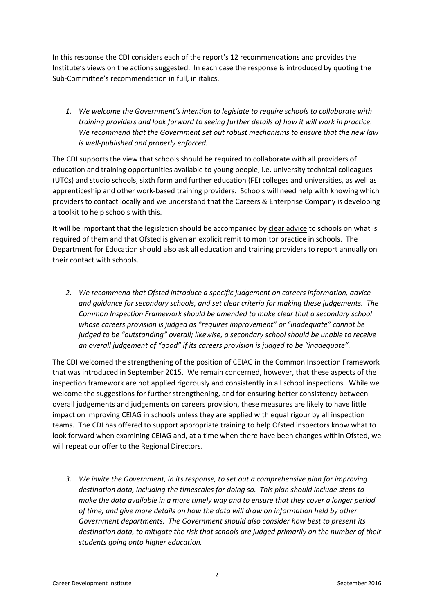In this response the CDI considers each of the report's 12 recommendations and provides the Institute's views on the actions suggested. In each case the response is introduced by quoting the Sub-Committee's recommendation in full, in italics.

*1. We welcome the Government's intention to legislate to require schools to collaborate with training providers and look forward to seeing further details of how it will work in practice. We recommend that the Government set out robust mechanisms to ensure that the new law is well-published and properly enforced.*

The CDI supports the view that schools should be required to collaborate with all providers of education and training opportunities available to young people, i.e. university technical colleagues (UTCs) and studio schools, sixth form and further education (FE) colleges and universities, as well as apprenticeship and other work-based training providers. Schools will need help with knowing which providers to contact locally and we understand that the Careers & Enterprise Company is developing a toolkit to help schools with this.

It will be important that the legislation should be accompanied by clear advice to schools on what is required of them and that Ofsted is given an explicit remit to monitor practice in schools. The Department for Education should also ask all education and training providers to report annually on their contact with schools.

*2. We recommend that Ofsted introduce a specific judgement on careers information, advice and guidance for secondary schools, and set clear criteria for making these judgements. The Common Inspection Framework should be amended to make clear that a secondary school whose careers provision is judged as "requires improvement" or "inadequate" cannot be judged to be "outstanding" overall; likewise, a secondary school should be unable to receive an overall judgement of "good" if its careers provision is judged to be "inadequate".*

The CDI welcomed the strengthening of the position of CEIAG in the Common Inspection Framework that was introduced in September 2015. We remain concerned, however, that these aspects of the inspection framework are not applied rigorously and consistently in all school inspections. While we welcome the suggestions for further strengthening, and for ensuring better consistency between overall judgements and judgements on careers provision, these measures are likely to have little impact on improving CEIAG in schools unless they are applied with equal rigour by all inspection teams. The CDI has offered to support appropriate training to help Ofsted inspectors know what to look forward when examining CEIAG and, at a time when there have been changes within Ofsted, we will repeat our offer to the Regional Directors.

*3. We invite the Government, in its response, to set out a comprehensive plan for improving destination data, including the timescales for doing so. This plan should include steps to make the data available in a more timely way and to ensure that they cover a longer period of time, and give more details on how the data will draw on information held by other Government departments. The Government should also consider how best to present its destination data, to mitigate the risk that schools are judged primarily on the number of their students going onto higher education.*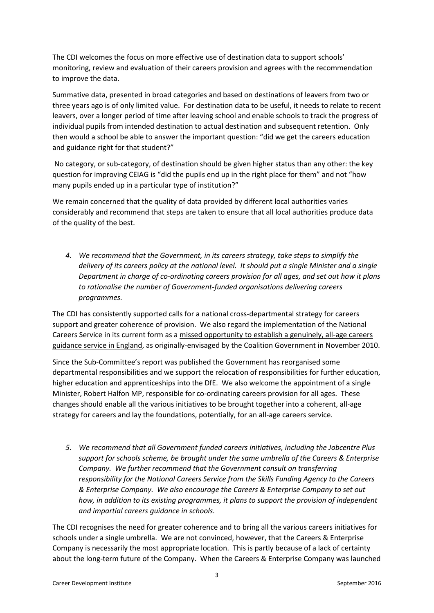The CDI welcomes the focus on more effective use of destination data to support schools' monitoring, review and evaluation of their careers provision and agrees with the recommendation to improve the data.

Summative data, presented in broad categories and based on destinations of leavers from two or three years ago is of only limited value. For destination data to be useful, it needs to relate to recent leavers, over a longer period of time after leaving school and enable schools to track the progress of individual pupils from intended destination to actual destination and subsequent retention. Only then would a school be able to answer the important question: "did we get the careers education and guidance right for that student?"

No category, or sub-category, of destination should be given higher status than any other: the key question for improving CEIAG is "did the pupils end up in the right place for them" and not "how many pupils ended up in a particular type of institution?"

We remain concerned that the quality of data provided by different local authorities varies considerably and recommend that steps are taken to ensure that all local authorities produce data of the quality of the best.

*4. We recommend that the Government, in its careers strategy, take steps to simplify the delivery of its careers policy at the national level. It should put a single Minister and a single Department in charge of co-ordinating careers provision for all ages, and set out how it plans to rationalise the number of Government-funded organisations delivering careers programmes.*

The CDI has consistently supported calls for a national cross-departmental strategy for careers support and greater coherence of provision. We also regard the implementation of the National Careers Service in its current form as a missed opportunity to establish a genuinely, all-age careers guidance service in England, as originally-envisaged by the Coalition Government in November 2010.

Since the Sub-Committee's report was published the Government has reorganised some departmental responsibilities and we support the relocation of responsibilities for further education, higher education and apprenticeships into the DfE. We also welcome the appointment of a single Minister, Robert Halfon MP, responsible for co-ordinating careers provision for all ages. These changes should enable all the various initiatives to be brought together into a coherent, all-age strategy for careers and lay the foundations, potentially, for an all-age careers service.

*5. We recommend that all Government funded careers initiatives, including the Jobcentre Plus support for schools scheme, be brought under the same umbrella of the Careers & Enterprise Company. We further recommend that the Government consult on transferring responsibility for the National Careers Service from the Skills Funding Agency to the Careers & Enterprise Company. We also encourage the Careers & Enterprise Company to set out how, in addition to its existing programmes, it plans to support the provision of independent and impartial careers guidance in schools.*

The CDI recognises the need for greater coherence and to bring all the various careers initiatives for schools under a single umbrella. We are not convinced, however, that the Careers & Enterprise Company is necessarily the most appropriate location. This is partly because of a lack of certainty about the long-term future of the Company. When the Careers & Enterprise Company was launched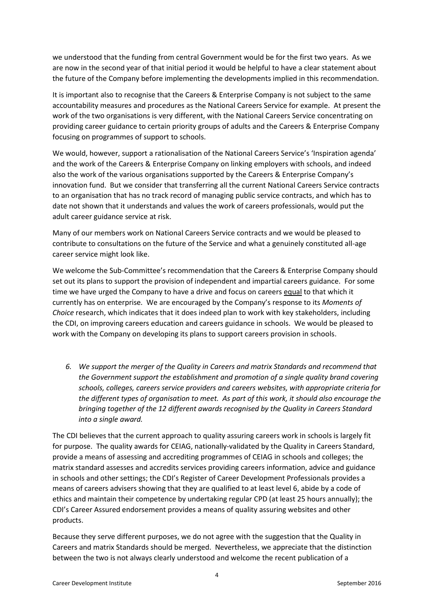we understood that the funding from central Government would be for the first two years. As we are now in the second year of that initial period it would be helpful to have a clear statement about the future of the Company before implementing the developments implied in this recommendation.

It is important also to recognise that the Careers & Enterprise Company is not subject to the same accountability measures and procedures as the National Careers Service for example. At present the work of the two organisations is very different, with the National Careers Service concentrating on providing career guidance to certain priority groups of adults and the Careers & Enterprise Company focusing on programmes of support to schools.

We would, however, support a rationalisation of the National Careers Service's 'Inspiration agenda' and the work of the Careers & Enterprise Company on linking employers with schools, and indeed also the work of the various organisations supported by the Careers & Enterprise Company's innovation fund. But we consider that transferring all the current National Careers Service contracts to an organisation that has no track record of managing public service contracts, and which has to date not shown that it understands and values the work of careers professionals, would put the adult career guidance service at risk.

Many of our members work on National Careers Service contracts and we would be pleased to contribute to consultations on the future of the Service and what a genuinely constituted all-age career service might look like.

We welcome the Sub-Committee's recommendation that the Careers & Enterprise Company should set out its plans to support the provision of independent and impartial careers guidance. For some time we have urged the Company to have a drive and focus on careers equal to that which it currently has on enterprise. We are encouraged by the Company's response to its *Moments of Choice* research, which indicates that it does indeed plan to work with key stakeholders, including the CDI, on improving careers education and careers guidance in schools. We would be pleased to work with the Company on developing its plans to support careers provision in schools.

*6. We support the merger of the Quality in Careers and matrix Standards and recommend that the Government support the establishment and promotion of a single quality brand covering schools, colleges, careers service providers and careers websites, with appropriate criteria for the different types of organisation to meet. As part of this work, it should also encourage the bringing together of the 12 different awards recognised by the Quality in Careers Standard into a single award.*

The CDI believes that the current approach to quality assuring careers work in schools is largely fit for purpose. The quality awards for CEIAG, nationally-validated by the Quality in Careers Standard, provide a means of assessing and accrediting programmes of CEIAG in schools and colleges; the matrix standard assesses and accredits services providing careers information, advice and guidance in schools and other settings; the CDI's Register of Career Development Professionals provides a means of careers advisers showing that they are qualified to at least level 6, abide by a code of ethics and maintain their competence by undertaking regular CPD (at least 25 hours annually); the CDI's Career Assured endorsement provides a means of quality assuring websites and other products.

Because they serve different purposes, we do not agree with the suggestion that the Quality in Careers and matrix Standards should be merged. Nevertheless, we appreciate that the distinction between the two is not always clearly understood and welcome the recent publication of a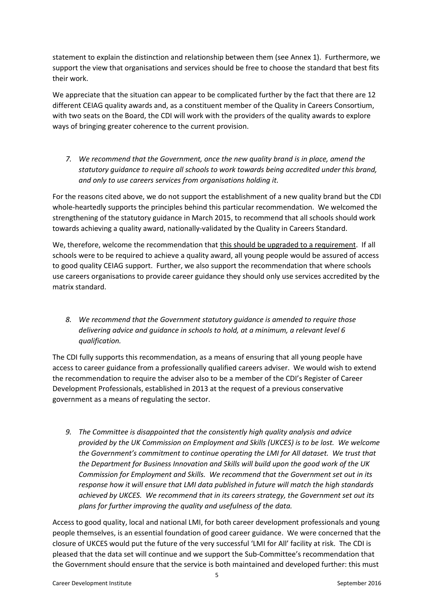statement to explain the distinction and relationship between them (see Annex 1). Furthermore, we support the view that organisations and services should be free to choose the standard that best fits their work.

We appreciate that the situation can appear to be complicated further by the fact that there are 12 different CEIAG quality awards and, as a constituent member of the Quality in Careers Consortium, with two seats on the Board, the CDI will work with the providers of the quality awards to explore ways of bringing greater coherence to the current provision.

*7. We recommend that the Government, once the new quality brand is in place, amend the statutory guidance to require all schools to work towards being accredited under this brand, and only to use careers services from organisations holding it.*

For the reasons cited above, we do not support the establishment of a new quality brand but the CDI whole-heartedly supports the principles behind this particular recommendation. We welcomed the strengthening of the statutory guidance in March 2015, to recommend that all schools should work towards achieving a quality award, nationally-validated by the Quality in Careers Standard.

We, therefore, welcome the recommendation that this should be upgraded to a requirement. If all schools were to be required to achieve a quality award, all young people would be assured of access to good quality CEIAG support. Further, we also support the recommendation that where schools use careers organisations to provide career guidance they should only use services accredited by the matrix standard.

*8. We recommend that the Government statutory guidance is amended to require those delivering advice and guidance in schools to hold, at a minimum, a relevant level 6 qualification.*

The CDI fully supports this recommendation, as a means of ensuring that all young people have access to career guidance from a professionally qualified careers adviser. We would wish to extend the recommendation to require the adviser also to be a member of the CDI's Register of Career Development Professionals, established in 2013 at the request of a previous conservative government as a means of regulating the sector.

*9. The Committee is disappointed that the consistently high quality analysis and advice provided by the UK Commission on Employment and Skills (UKCES) is to be lost. We welcome the Government's commitment to continue operating the LMI for All dataset. We trust that the Department for Business Innovation and Skills will build upon the good work of the UK Commission for Employment and Skills. We recommend that the Government set out in its response how it will ensure that LMI data published in future will match the high standards achieved by UKCES. We recommend that in its careers strategy, the Government set out its plans for further improving the quality and usefulness of the data.*

Access to good quality, local and national LMI, for both career development professionals and young people themselves, is an essential foundation of good career guidance. We were concerned that the closure of UKCES would put the future of the very successful 'LMI for All' facility at risk. The CDI is pleased that the data set will continue and we support the Sub-Committee's recommendation that the Government should ensure that the service is both maintained and developed further: this must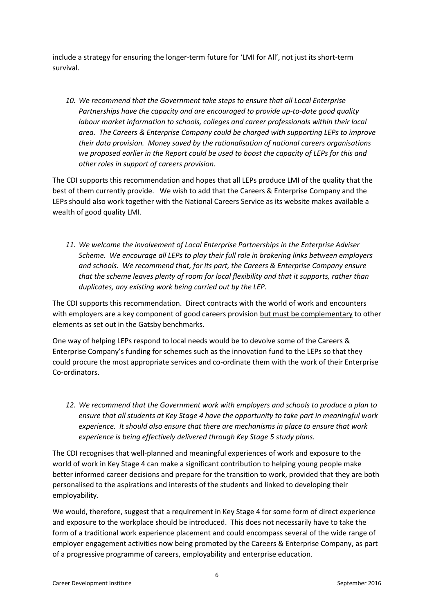include a strategy for ensuring the longer-term future for 'LMI for All', not just its short-term survival.

*10. We recommend that the Government take steps to ensure that all Local Enterprise Partnerships have the capacity and are encouraged to provide up-to-date good quality labour market information to schools, colleges and career professionals within their local area. The Careers & Enterprise Company could be charged with supporting LEPs to improve their data provision. Money saved by the rationalisation of national careers organisations we proposed earlier in the Report could be used to boost the capacity of LEPs for this and other roles in support of careers provision.*

The CDI supports this recommendation and hopes that all LEPs produce LMI of the quality that the best of them currently provide. We wish to add that the Careers & Enterprise Company and the LEPs should also work together with the National Careers Service as its website makes available a wealth of good quality LMI.

*11. We welcome the involvement of Local Enterprise Partnerships in the Enterprise Adviser Scheme. We encourage all LEPs to play their full role in brokering links between employers and schools. We recommend that, for its part, the Careers & Enterprise Company ensure that the scheme leaves plenty of room for local flexibility and that it supports, rather than duplicates, any existing work being carried out by the LEP.*

The CDI supports this recommendation. Direct contracts with the world of work and encounters with employers are a key component of good careers provision but must be complementary to other elements as set out in the Gatsby benchmarks.

One way of helping LEPs respond to local needs would be to devolve some of the Careers & Enterprise Company's funding for schemes such as the innovation fund to the LEPs so that they could procure the most appropriate services and co-ordinate them with the work of their Enterprise Co-ordinators.

*12. We recommend that the Government work with employers and schools to produce a plan to ensure that all students at Key Stage 4 have the opportunity to take part in meaningful work experience. It should also ensure that there are mechanisms in place to ensure that work experience is being effectively delivered through Key Stage 5 study plans.*

The CDI recognises that well-planned and meaningful experiences of work and exposure to the world of work in Key Stage 4 can make a significant contribution to helping young people make better informed career decisions and prepare for the transition to work, provided that they are both personalised to the aspirations and interests of the students and linked to developing their employability.

We would, therefore, suggest that a requirement in Key Stage 4 for some form of direct experience and exposure to the workplace should be introduced. This does not necessarily have to take the form of a traditional work experience placement and could encompass several of the wide range of employer engagement activities now being promoted by the Careers & Enterprise Company, as part of a progressive programme of careers, employability and enterprise education.